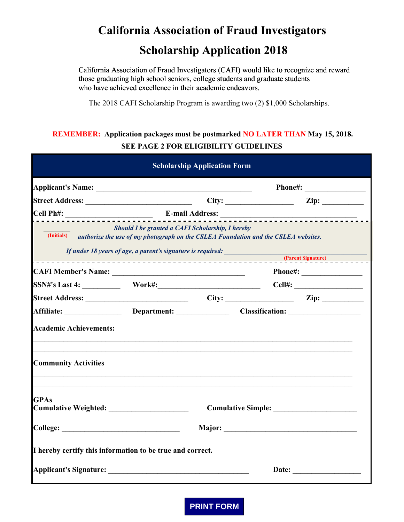# **California Association of Fraud Investigators Scholarship Application 2018**

California Association of Fraud Investigators (CAFI) would like to recognize and reward those graduating high school seniors, college students and graduate students who have achieved excellence in their academic endeavors.

The 2018 CAFI Scholarship Program is awarding two (2) \$1,000 Scholarships.

## **REMEMBER: Application packages must be postmarked NO LATER THAN May 15, 2018. SEE PAGE 2 FOR ELIGIBILITY GUIDELINES**

| <b>Scholarship Application Form</b>                                                           |                                                  |  |                           |                                                                                                                                                                                                                                |
|-----------------------------------------------------------------------------------------------|--------------------------------------------------|--|---------------------------|--------------------------------------------------------------------------------------------------------------------------------------------------------------------------------------------------------------------------------|
|                                                                                               |                                                  |  |                           |                                                                                                                                                                                                                                |
|                                                                                               |                                                  |  |                           |                                                                                                                                                                                                                                |
|                                                                                               |                                                  |  |                           |                                                                                                                                                                                                                                |
| (Initials) authorize the use of my photograph on the CSLEA Foundation and the CSLEA websites. | Should I be granted a CAFI Scholarship, I hereby |  |                           |                                                                                                                                                                                                                                |
| CAFI Member's Name:                                                                           |                                                  |  |                           |                                                                                                                                                                                                                                |
|                                                                                               |                                                  |  |                           | Cell#:                                                                                                                                                                                                                         |
|                                                                                               |                                                  |  |                           |                                                                                                                                                                                                                                |
| Affiliate: Department: Classification: Classification:                                        |                                                  |  |                           |                                                                                                                                                                                                                                |
| <b>Academic Achievements:</b>                                                                 |                                                  |  |                           |                                                                                                                                                                                                                                |
| <b>Community Activities</b>                                                                   |                                                  |  |                           |                                                                                                                                                                                                                                |
| <b>GPAs</b>                                                                                   |                                                  |  | <b>Cumulative Simple:</b> |                                                                                                                                                                                                                                |
|                                                                                               |                                                  |  |                           |                                                                                                                                                                                                                                |
| I hereby certify this information to be true and correct.                                     |                                                  |  |                           |                                                                                                                                                                                                                                |
|                                                                                               |                                                  |  |                           | Date: the contract of the contract of the contract of the contract of the contract of the contract of the contract of the contract of the contract of the contract of the contract of the contract of the contract of the cont |

**PRINT FORM**